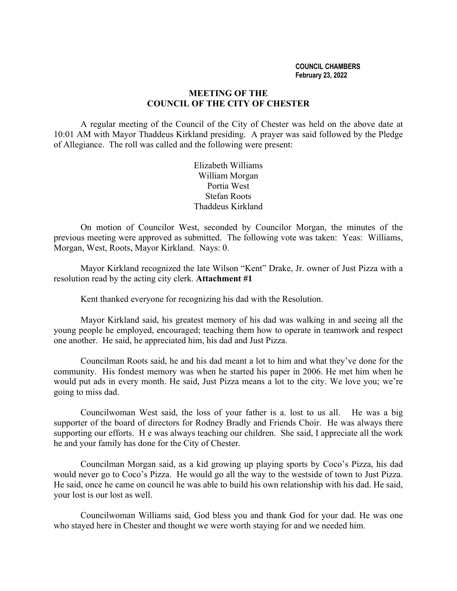#### **COUNCIL CHAMBERS February 23, 2022**

## **MEETING OF THE COUNCIL OF THE CITY OF CHESTER**

A regular meeting of the Council of the City of Chester was held on the above date at 10:01 AM with Mayor Thaddeus Kirkland presiding. A prayer was said followed by the Pledge of Allegiance. The roll was called and the following were present:

> Elizabeth Williams William Morgan Portia West Stefan Roots Thaddeus Kirkland

On motion of Councilor West, seconded by Councilor Morgan, the minutes of the previous meeting were approved as submitted. The following vote was taken: Yeas: Williams, Morgan, West, Roots, Mayor Kirkland. Nays: 0.

Mayor Kirkland recognized the late Wilson "Kent" Drake, Jr. owner of Just Pizza with a resolution read by the acting city clerk. **Attachment #1**

Kent thanked everyone for recognizing his dad with the Resolution.

Mayor Kirkland said, his greatest memory of his dad was walking in and seeing all the young people he employed, encouraged; teaching them how to operate in teamwork and respect one another. He said, he appreciated him, his dad and Just Pizza.

Councilman Roots said, he and his dad meant a lot to him and what they've done for the community. His fondest memory was when he started his paper in 2006. He met him when he would put ads in every month. He said, Just Pizza means a lot to the city. We love you; we're going to miss dad.

Councilwoman West said, the loss of your father is a. lost to us all. He was a big supporter of the board of directors for Rodney Bradly and Friends Choir. He was always there supporting our efforts. H e was always teaching our children. She said, I appreciate all the work he and your family has done for the City of Chester.

Councilman Morgan said, as a kid growing up playing sports by Coco's Pizza, his dad would never go to Coco's Pizza. He would go all the way to the westside of town to Just Pizza. He said, once he came on council he was able to build his own relationship with his dad. He said, your lost is our lost as well.

Councilwoman Williams said, God bless you and thank God for your dad. He was one who stayed here in Chester and thought we were worth staying for and we needed him.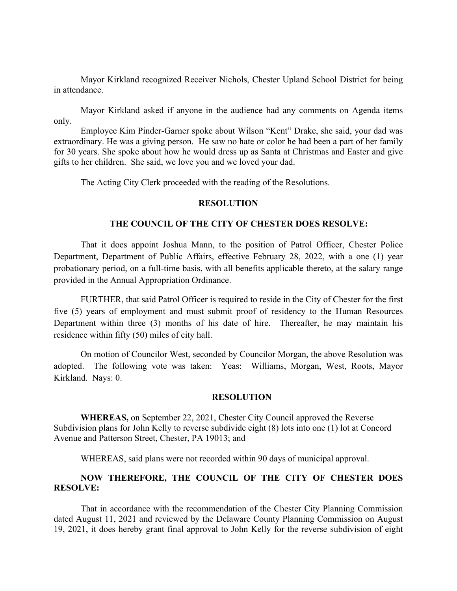Mayor Kirkland recognized Receiver Nichols, Chester Upland School District for being in attendance.

Mayor Kirkland asked if anyone in the audience had any comments on Agenda items only.

Employee Kim Pinder-Garner spoke about Wilson "Kent" Drake, she said, your dad was extraordinary. He was a giving person. He saw no hate or color he had been a part of her family for 30 years. She spoke about how he would dress up as Santa at Christmas and Easter and give gifts to her children. She said, we love you and we loved your dad.

The Acting City Clerk proceeded with the reading of the Resolutions.

#### **RESOLUTION**

### **THE COUNCIL OF THE CITY OF CHESTER DOES RESOLVE:**

That it does appoint Joshua Mann, to the position of Patrol Officer, Chester Police Department, Department of Public Affairs, effective February 28, 2022, with a one (1) year probationary period, on a full-time basis, with all benefits applicable thereto, at the salary range provided in the Annual Appropriation Ordinance.

FURTHER, that said Patrol Officer is required to reside in the City of Chester for the first five (5) years of employment and must submit proof of residency to the Human Resources Department within three (3) months of his date of hire. Thereafter, he may maintain his residence within fifty (50) miles of city hall.

On motion of Councilor West, seconded by Councilor Morgan, the above Resolution was adopted. The following vote was taken: Yeas: Williams, Morgan, West, Roots, Mayor Kirkland. Nays: 0.

#### **RESOLUTION**

**WHEREAS,** on September 22, 2021, Chester City Council approved the Reverse Subdivision plans for John Kelly to reverse subdivide eight (8) lots into one (1) lot at Concord Avenue and Patterson Street, Chester, PA 19013; and

WHEREAS, said plans were not recorded within 90 days of municipal approval.

# **NOW THEREFORE, THE COUNCIL OF THE CITY OF CHESTER DOES RESOLVE:**

That in accordance with the recommendation of the Chester City Planning Commission dated August 11, 2021 and reviewed by the Delaware County Planning Commission on August 19, 2021, it does hereby grant final approval to John Kelly for the reverse subdivision of eight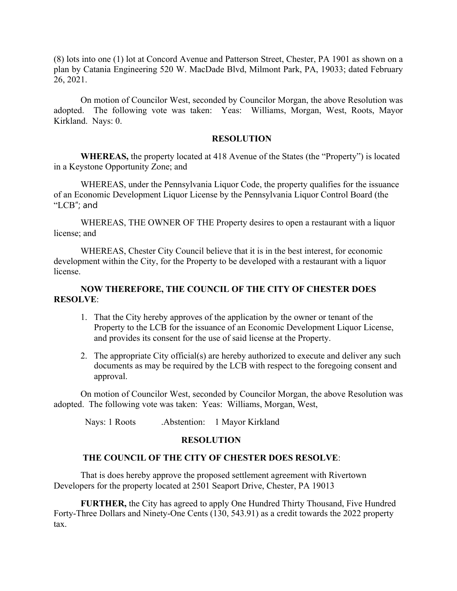(8) lots into one (1) lot at Concord Avenue and Patterson Street, Chester, PA 1901 as shown on a plan by Catania Engineering 520 W. MacDade Blvd, Milmont Park, PA, 19033; dated February 26, 2021.

On motion of Councilor West, seconded by Councilor Morgan, the above Resolution was adopted. The following vote was taken: Yeas: Williams, Morgan, West, Roots, Mayor Kirkland. Nays: 0.

### **RESOLUTION**

**WHEREAS,** the property located at 418 Avenue of the States (the "Property") is located in a Keystone Opportunity Zone; and

WHEREAS, under the Pennsylvania Liquor Code, the property qualifies for the issuance of an Economic Development Liquor License by the Pennsylvania Liquor Control Board (the "LCB"; and

WHEREAS, THE OWNER OF THE Property desires to open a restaurant with a liquor license; and

WHEREAS, Chester City Council believe that it is in the best interest, for economic development within the City, for the Property to be developed with a restaurant with a liquor license.

# **NOW THEREFORE, THE COUNCIL OF THE CITY OF CHESTER DOES RESOLVE**:

- 1. That the City hereby approves of the application by the owner or tenant of the Property to the LCB for the issuance of an Economic Development Liquor License, and provides its consent for the use of said license at the Property.
- 2. The appropriate City official(s) are hereby authorized to execute and deliver any such documents as may be required by the LCB with respect to the foregoing consent and approval.

On motion of Councilor West, seconded by Councilor Morgan, the above Resolution was adopted. The following vote was taken: Yeas: Williams, Morgan, West,

Nays: 1 Roots .Abstention: 1 Mayor Kirkland

# **RESOLUTION**

# **THE COUNCIL OF THE CITY OF CHESTER DOES RESOLVE**:

That is does hereby approve the proposed settlement agreement with Rivertown Developers for the property located at 2501 Seaport Drive, Chester, PA 19013

**FURTHER,** the City has agreed to apply One Hundred Thirty Thousand, Five Hundred Forty-Three Dollars and Ninety-One Cents (130, 543.91) as a credit towards the 2022 property tax.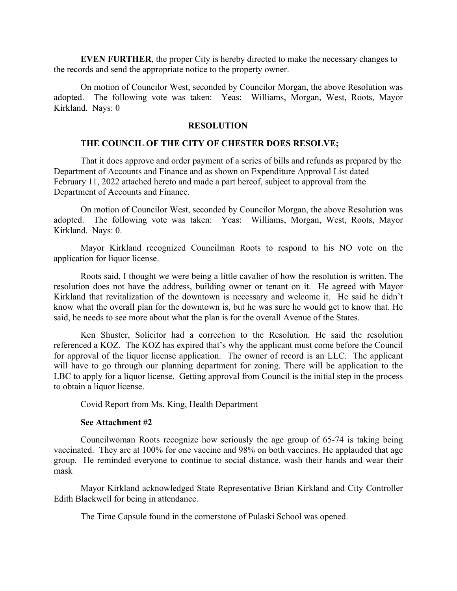**EVEN FURTHER**, the proper City is hereby directed to make the necessary changes to the records and send the appropriate notice to the property owner.

On motion of Councilor West, seconded by Councilor Morgan, the above Resolution was adopted. The following vote was taken: Yeas: Williams, Morgan, West, Roots, Mayor Kirkland. Nays: 0

### **RESOLUTION**

#### **THE COUNCIL OF THE CITY OF CHESTER DOES RESOLVE;**

That it does approve and order payment of a series of bills and refunds as prepared by the Department of Accounts and Finance and as shown on Expenditure Approval List dated February 11, 2022 attached hereto and made a part hereof, subject to approval from the Department of Accounts and Finance.

On motion of Councilor West, seconded by Councilor Morgan, the above Resolution was adopted. The following vote was taken: Yeas: Williams, Morgan, West, Roots, Mayor Kirkland. Nays: 0.

Mayor Kirkland recognized Councilman Roots to respond to his NO vote on the application for liquor license.

Roots said, I thought we were being a little cavalier of how the resolution is written. The resolution does not have the address, building owner or tenant on it. He agreed with Mayor Kirkland that revitalization of the downtown is necessary and welcome it. He said he didn't know what the overall plan for the downtown is, but he was sure he would get to know that. He said, he needs to see more about what the plan is for the overall Avenue of the States.

Ken Shuster, Solicitor had a correction to the Resolution. He said the resolution referenced a KOZ. The KOZ has expired that's why the applicant must come before the Council for approval of the liquor license application. The owner of record is an LLC. The applicant will have to go through our planning department for zoning. There will be application to the LBC to apply for a liquor license. Getting approval from Council is the initial step in the process to obtain a liquor license.

Covid Report from Ms. King, Health Department

### **See Attachment #2**

Councilwoman Roots recognize how seriously the age group of 65-74 is taking being vaccinated. They are at 100% for one vaccine and 98% on both vaccines. He applauded that age group. He reminded everyone to continue to social distance, wash their hands and wear their mask

Mayor Kirkland acknowledged State Representative Brian Kirkland and City Controller Edith Blackwell for being in attendance.

The Time Capsule found in the cornerstone of Pulaski School was opened.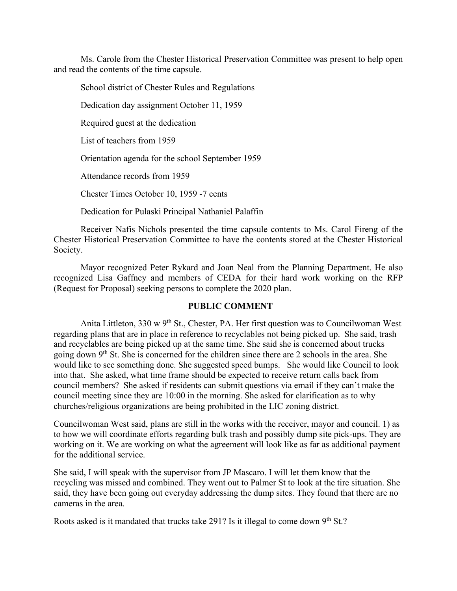Ms. Carole from the Chester Historical Preservation Committee was present to help open and read the contents of the time capsule.

School district of Chester Rules and Regulations

Dedication day assignment October 11, 1959

Required guest at the dedication

List of teachers from 1959

Orientation agenda for the school September 1959

Attendance records from 1959

Chester Times October 10, 1959 -7 cents

Dedication for Pulaski Principal Nathaniel Palaffin

Receiver Nafis Nichols presented the time capsule contents to Ms. Carol Fireng of the Chester Historical Preservation Committee to have the contents stored at the Chester Historical Society.

Mayor recognized Peter Rykard and Joan Neal from the Planning Department. He also recognized Lisa Gaffney and members of CEDA for their hard work working on the RFP (Request for Proposal) seeking persons to complete the 2020 plan.

# **PUBLIC COMMENT**

Anita Littleton,  $330 \text{ w } 9^{\text{th}}$  St., Chester, PA. Her first question was to Councilwoman West regarding plans that are in place in reference to recyclables not being picked up. She said, trash and recyclables are being picked up at the same time. She said she is concerned about trucks going down 9<sup>th</sup> St. She is concerned for the children since there are 2 schools in the area. She would like to see something done. She suggested speed bumps. She would like Council to look into that. She asked, what time frame should be expected to receive return calls back from council members? She asked if residents can submit questions via email if they can't make the council meeting since they are 10:00 in the morning. She asked for clarification as to why churches/religious organizations are being prohibited in the LIC zoning district.

Councilwoman West said, plans are still in the works with the receiver, mayor and council. 1) as to how we will coordinate efforts regarding bulk trash and possibly dump site pick-ups. They are working on it. We are working on what the agreement will look like as far as additional payment for the additional service.

She said, I will speak with the supervisor from JP Mascaro. I will let them know that the recycling was missed and combined. They went out to Palmer St to look at the tire situation. She said, they have been going out everyday addressing the dump sites. They found that there are no cameras in the area.

Roots asked is it mandated that trucks take 291? Is it illegal to come down  $9<sup>th</sup>$  St.?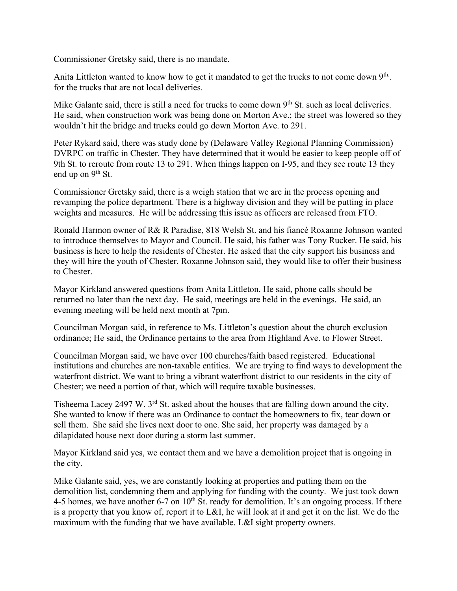Commissioner Gretsky said, there is no mandate.

Anita Littleton wanted to know how to get it mandated to get the trucks to not come down 9<sup>th</sup>. for the trucks that are not local deliveries.

Mike Galante said, there is still a need for trucks to come down 9<sup>th</sup> St. such as local deliveries. He said, when construction work was being done on Morton Ave.; the street was lowered so they wouldn't hit the bridge and trucks could go down Morton Ave. to 291.

Peter Rykard said, there was study done by (Delaware Valley Regional Planning Commission) DVRPC on traffic in Chester. They have determined that it would be easier to keep people off of 9th St. to reroute from route 13 to 291. When things happen on I-95, and they see route 13 they end up on  $9<sup>th</sup>$  St.

Commissioner Gretsky said, there is a weigh station that we are in the process opening and revamping the police department. There is a highway division and they will be putting in place weights and measures. He will be addressing this issue as officers are released from FTO.

Ronald Harmon owner of R& R Paradise, 818 Welsh St. and his fiancé Roxanne Johnson wanted to introduce themselves to Mayor and Council. He said, his father was Tony Rucker. He said, his business is here to help the residents of Chester. He asked that the city support his business and they will hire the youth of Chester. Roxanne Johnson said, they would like to offer their business to Chester.

Mayor Kirkland answered questions from Anita Littleton. He said, phone calls should be returned no later than the next day. He said, meetings are held in the evenings. He said, an evening meeting will be held next month at 7pm.

Councilman Morgan said, in reference to Ms. Littleton's question about the church exclusion ordinance; He said, the Ordinance pertains to the area from Highland Ave. to Flower Street.

Councilman Morgan said, we have over 100 churches/faith based registered. Educational institutions and churches are non-taxable entities. We are trying to find ways to development the waterfront district. We want to bring a vibrant waterfront district to our residents in the city of Chester; we need a portion of that, which will require taxable businesses.

Tisheema Lacey 2497 W. 3rd St. asked about the houses that are falling down around the city. She wanted to know if there was an Ordinance to contact the homeowners to fix, tear down or sell them. She said she lives next door to one. She said, her property was damaged by a dilapidated house next door during a storm last summer.

Mayor Kirkland said yes, we contact them and we have a demolition project that is ongoing in the city.

Mike Galante said, yes, we are constantly looking at properties and putting them on the demolition list, condemning them and applying for funding with the county. We just took down 4-5 homes, we have another 6-7 on  $10^{th}$  St. ready for demolition. It's an ongoing process. If there is a property that you know of, report it to L&I, he will look at it and get it on the list. We do the maximum with the funding that we have available. L&I sight property owners.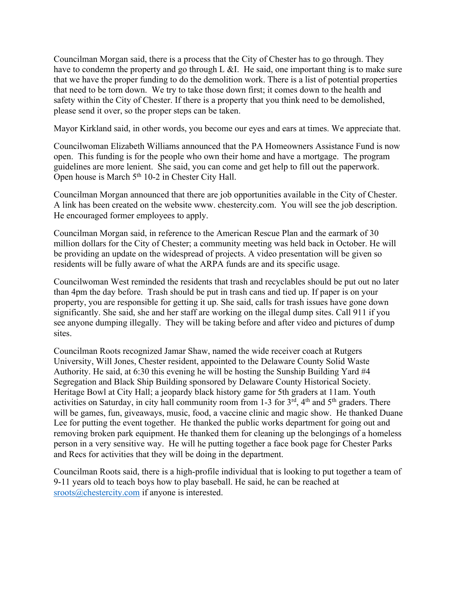Councilman Morgan said, there is a process that the City of Chester has to go through. They have to condemn the property and go through L &I. He said, one important thing is to make sure that we have the proper funding to do the demolition work. There is a list of potential properties that need to be torn down. We try to take those down first; it comes down to the health and safety within the City of Chester. If there is a property that you think need to be demolished, please send it over, so the proper steps can be taken.

Mayor Kirkland said, in other words, you become our eyes and ears at times. We appreciate that.

Councilwoman Elizabeth Williams announced that the PA Homeowners Assistance Fund is now open. This funding is for the people who own their home and have a mortgage. The program guidelines are more lenient. She said, you can come and get help to fill out the paperwork. Open house is March  $5<sup>th</sup> 10-2$  in Chester City Hall.

Councilman Morgan announced that there are job opportunities available in the City of Chester. A link has been created on the website www. chestercity.com. You will see the job description. He encouraged former employees to apply.

Councilman Morgan said, in reference to the American Rescue Plan and the earmark of 30 million dollars for the City of Chester; a community meeting was held back in October. He will be providing an update on the widespread of projects. A video presentation will be given so residents will be fully aware of what the ARPA funds are and its specific usage.

Councilwoman West reminded the residents that trash and recyclables should be put out no later than 4pm the day before. Trash should be put in trash cans and tied up. If paper is on your property, you are responsible for getting it up. She said, calls for trash issues have gone down significantly. She said, she and her staff are working on the illegal dump sites. Call 911 if you see anyone dumping illegally. They will be taking before and after video and pictures of dump sites.

Councilman Roots recognized Jamar Shaw, named the wide receiver coach at Rutgers University, Will Jones, Chester resident, appointed to the Delaware County Solid Waste Authority. He said, at 6:30 this evening he will be hosting the Sunship Building Yard #4 Segregation and Black Ship Building sponsored by Delaware County Historical Society. Heritage Bowl at City Hall; a jeopardy black history game for 5th graders at 11am. Youth activities on Saturday, in city hall community room from 1-3 for  $3<sup>rd</sup>$ ,  $4<sup>th</sup>$  and  $5<sup>th</sup>$  graders. There will be games, fun, giveaways, music, food, a vaccine clinic and magic show. He thanked Duane Lee for putting the event together. He thanked the public works department for going out and removing broken park equipment. He thanked them for cleaning up the belongings of a homeless person in a very sensitive way. He will he putting together a face book page for Chester Parks and Recs for activities that they will be doing in the department.

Councilman Roots said, there is a high-profile individual that is looking to put together a team of 9-11 years old to teach boys how to play baseball. He said, he can be reached at sroots@chestercity.com if anyone is interested.